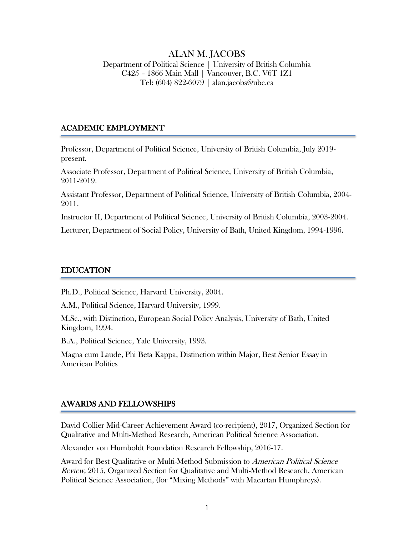## ALAN M. JACOBS

Department of Political Science | University of British Columbia C425 – 1866 Main Mall | Vancouver, B.C. V6T 1Z1 Tel: (604) 822-6079 | alan.jacobs@ubc.ca

#### ACADEMIC EMPLOYMENT

Professor, Department of Political Science, University of British Columbia, July 2019 present.

Associate Professor, Department of Political Science, University of British Columbia, 2011-2019.

Assistant Professor, Department of Political Science, University of British Columbia, 2004- 2011.

Instructor II, Department of Political Science, University of British Columbia, 2003-2004.

Lecturer, Department of Social Policy, University of Bath, United Kingdom, 1994-1996.

#### EDUCATION

Ph.D., Political Science, Harvard University, 2004.

A.M., Political Science, Harvard University, 1999.

M.Sc., with Distinction, European Social Policy Analysis, University of Bath, United Kingdom, 1994.

B.A., Political Science, Yale University, 1993.

Magna cum Laude, Phi Beta Kappa, Distinction within Major, Best Senior Essay in American Politics

#### AWARDS AND FELLOWSHIPS

David Collier Mid-Career Achievement Award (co-recipient), 2017, Organized Section for Qualitative and Multi-Method Research, American Political Science Association.

Alexander von Humboldt Foundation Research Fellowship, 2016-17.

Award for Best Qualitative or Multi-Method Submission to American Political Science Review, 2015, Organized Section for Qualitative and Multi-Method Research, American Political Science Association, (for "Mixing Methods" with Macartan Humphreys).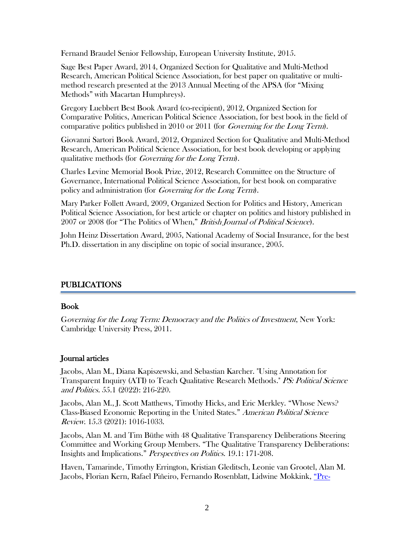Fernand Braudel Senior Fellowship, European University Institute, 2015.

Sage Best Paper Award, 2014, Organized Section for Qualitative and Multi-Method Research, American Political Science Association, for best paper on qualitative or multimethod research presented at the 2013 Annual Meeting of the APSA (for "Mixing Methods" with Macartan Humphreys).

Gregory Luebbert Best Book Award (co-recipient), 2012, Organized Section for Comparative Politics, American Political Science Association, for best book in the field of comparative politics published in 2010 or 2011 (for *Governing for the Long Term*).

Giovanni Sartori Book Award, 2012, Organized Section for Qualitative and Multi-Method Research, American Political Science Association, for best book developing or applying qualitative methods (for Governing for the Long Term).

Charles Levine Memorial Book Prize, 2012, Research Committee on the Structure of Governance, International Political Science Association, for best book on comparative policy and administration (for *Governing for the Long Term*).

Mary Parker Follett Award, 2009, Organized Section for Politics and History, American Political Science Association, for best article or chapter on politics and history published in 2007 or 2008 (for "The Politics of When," British Journal of Political Science).

John Heinz Dissertation Award, 2005, National Academy of Social Insurance, for the best Ph.D. dissertation in any discipline on topic of social insurance, 2005.

## PUBLICATIONS

## Book

Governing for the Long Term: Democracy and the Politics of Investment, New York: Cambridge University Press, 2011.

## Journal articles

Jacobs, Alan M., Diana Kapiszewski, and Sebastian Karcher. "Using Annotation for Transparent Inquiry (ATI) to Teach Qualitative Research Methods." PS: Political Science and Politics. 55.1 (2022): 216-220.

Jacobs, Alan M., J. Scott Matthews, Timothy Hicks, and Eric Merkley. "Whose News? Class-Biased Economic Reporting in the United States." American Political Science Review. 15.3 (2021): 1016-1033.

Jacobs, Alan M. and Tim Büthe with 48 Qualitative Transparency Deliberations Steering Committee and Working Group Members. "The Qualitative Transparency Deliberations: Insights and Implications." Perspectives on Politics. 19.1: 171-208.

Haven, Tamarinde, Timothy Errington, Kristian Gleditsch, Leonie van Grootel, Alan M. Jacobs, Florian Kern, Rafael Piñeiro, Fernando Rosenblatt, Lidwine Mokkink, ["Pre](https://journals.sagepub.com/doi/10.1177/1609406920976417)-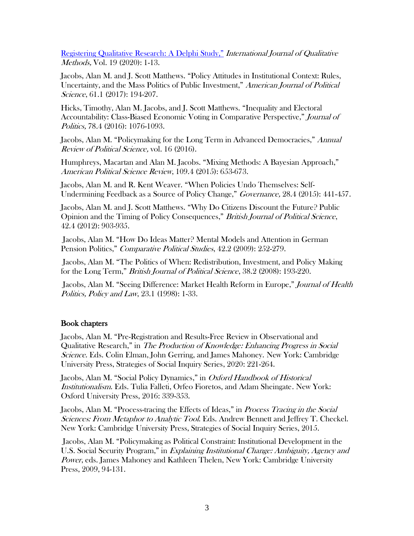[Registering Qualitative Research](https://journals.sagepub.com/doi/10.1177/1609406920976417): A Delphi Study," International Journal of Qualitative Methods, Vol. 19 (2020): 1-13.

Jacobs, Alan M. and J. Scott Matthews. "Policy Attitudes in Institutional Context: Rules, Uncertainty, and the Mass Politics of Public Investment," American Journal of Political Science, 61.1 (2017): 194-207.

Hicks, Timothy, Alan M. Jacobs, and J. Scott Matthews. "Inequality and Electoral Accountability: Class-Biased Economic Voting in Comparative Perspective," Journal of Politics, 78.4 (2016): 1076-1093.

Jacobs, Alan M. "Policymaking for the Long Term in Advanced Democracies," Annual Review of Political Science, vol. 16 (2016).

Humphreys, Macartan and Alan M. Jacobs. "Mixing Methods: A Bayesian Approach," American Political Science Review, 109.4 (2015): 653-673.

Jacobs, Alan M. and R. Kent Weaver. "When Policies Undo Themselves: Self-Undermining Feedback as a Source of Policy Change," Governance, 28.4 (2015): 441-457.

Jacobs, Alan M. and J. Scott Matthews. "Why Do Citizens Discount the Future? Public Opinion and the Timing of Policy Consequences," British Journal of Political Science, 42.4 (2012): 903-935.

Jacobs, Alan M. "How Do Ideas Matter? Mental Models and Attention in German Pension Politics," Comparative Political Studies, 42.2 (2009): 252-279.

Jacobs, Alan M. "The Politics of When: Redistribution, Investment, and Policy Making for the Long Term," British Journal of Political Science, 38.2 (2008): 193-220.

Jacobs, Alan M. "Seeing Difference: Market Health Reform in Europe," Journal of Health Politics, Policy and Law, 23.1 (1998): 1-33.

#### Book chapters

Jacobs, Alan M. "Pre-Registration and Results-Free Review in Observational and Qualitative Research," in The Production of Knowledge: Enhancing Progress in Social Science. Eds. Colin Elman, John Gerring, and James Mahoney. New York: Cambridge University Press, Strategies of Social Inquiry Series, 2020: 221-264.

Jacobs, Alan M. "Social Policy Dynamics," in Oxford Handbook of Historical Institutionalism. Eds. Tulia Falleti, Orfeo Fioretos, and Adam Sheingate. New York: Oxford University Press, 2016: 339-353.

Jacobs, Alan M. "Process-tracing the Effects of Ideas," in Process Tracing in the Social Sciences: From Metaphor to Analytic Tool. Eds. Andrew Bennett and Jeffrey T. Checkel. New York: Cambridge University Press, Strategies of Social Inquiry Series, 2015.

Jacobs, Alan M. "Policymaking as Political Constraint: Institutional Development in the U.S. Social Security Program," in *Explaining Institutional Change: Ambiguity, Agency and* Power, eds. James Mahoney and Kathleen Thelen, New York: Cambridge University Press, 2009, 94-131.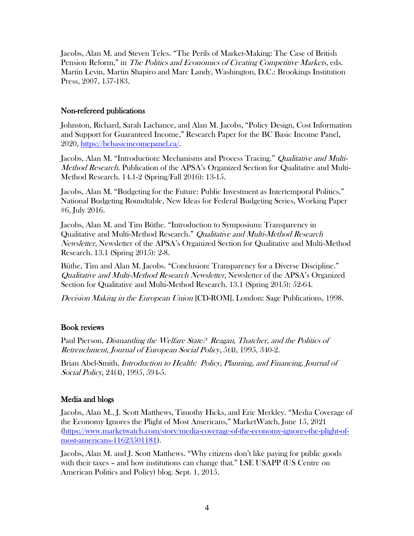Jacobs, Alan M. and Steven Teles. "The Perils of Market-Making: The Case of British Pension Reform," in *The Politics and Economics of Creating Competitive Markets*, eds. Martin Levin, Martin Shapiro and Marc Landy, Washington, D.C.: Brookings Institution Press, 2007, 157-183.

## Non-refereed publications

Johnston, Richard, Sarah Lachance, and Alan M. Jacobs, "Policy Design, Cost Information and Support for Guaranteed Income," Research Paper for the BC Basic Income Panel, 2020, [https://bcbasicincomepanel.ca/.](https://bcbasicincomepanel.ca/)

Jacobs, Alan M. "Introduction: Mechanisms and Process Tracing." Qualitative and Multi-*Method Research.* Publication of the APSA's Organized Section for Qualitative and Multi-Method Research. 14.1-2 (Spring/Fall 2016): 13-15.

Jacobs, Alan M. "Budgeting for the Future: Public Investment as Intertemporal Politics." National Budgeting Roundtable, New Ideas for Federal Budgeting Series, Working Paper #6, July 2016.

Jacobs, Alan M. and Tim Büthe. "Introduction to Symposium: Transparency in Qualitative and Multi-Method Research." Qualitative and Multi-Method Research Newsletter, Newsletter of the APSA's Organized Section for Qualitative and Multi-Method Research. 13.1 (Spring 2015): 2-8.

Büthe, Tim and Alan M. Jacobs. "Conclusion: Transparency for a Diverse Discipline." Qualitative and Multi-Method Research Newsletter, Newsletter of the APSA's Organized Section for Qualitative and Multi-Method Research. 13.1 (Spring 2015): 52-64.

Decision Making in the European Union [CD-ROM], London: Sage Publications, 1998.

## Book reviews

Paul Pierson, *Dismantling the Welfare State? Reagan, Thatcher, and the Politics of* Retrenchment, Journal of European Social Policy, 5(4), 1995, 340-2.

Brian Abel-Smith, Introduction to Health: Policy, Planning, and Financing, Journal of Social Policy, 24(4), 1995, 594-5.

# Media and blogs

Jacobs, Alan M., J. Scott Matthews, Timothy Hicks, and Eric Merkley. "Media Coverage of the Economy Ignores the Plight of Most Americans," MarketWatch, June 15, 2021 [\(https://www.marketwatch.com/story/media-coverage-of-the-economy-ignores-the-plight-of](https://www.marketwatch.com/story/media-coverage-of-the-economy-ignores-the-plight-of-most-americans-11623501181)[most-americans-11623501181\)](https://www.marketwatch.com/story/media-coverage-of-the-economy-ignores-the-plight-of-most-americans-11623501181).

Jacobs, Alan M. and J. Scott Matthews. "Why citizens don't like paying for public goods with their taxes – and how institutions can change that." LSE USAPP (US Centre on American Politics and Policy) blog. Sept. 1, 2015.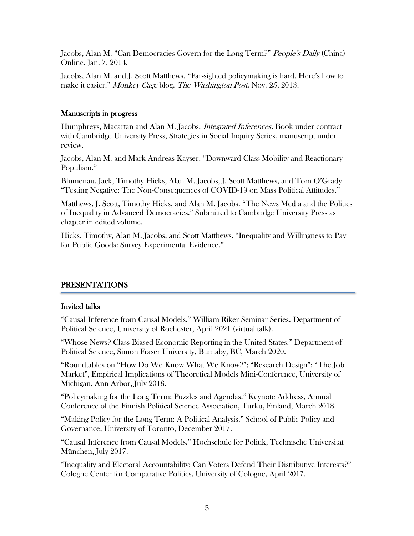Jacobs, Alan M. "Can Democracies Govern for the Long Term?" People's Daily (China) Online. Jan. 7, 2014.

Jacobs, Alan M. and J. Scott Matthews. "Far-sighted policymaking is hard. Here's how to make it easier." Monkey Cage blog. The Washington Post. Nov. 25, 2013.

#### Manuscripts in progress

Humphreys, Macartan and Alan M. Jacobs. *Integrated Inferences*. Book under contract with Cambridge University Press, Strategies in Social Inquiry Series, manuscript under review.

Jacobs, Alan M. and Mark Andreas Kayser. "Downward Class Mobility and Reactionary Populism."

Blumenau, Jack, Timothy Hicks, Alan M. Jacobs, J. Scott Matthews, and Tom O'Grady. "Testing Negative: The Non-Consequences of COVID-19 on Mass Political Attitudes."

Matthews, J. Scott, Timothy Hicks, and Alan M. Jacobs. "The News Media and the Politics of Inequality in Advanced Democracies." Submitted to Cambridge University Press as chapter in edited volume.

Hicks, Timothy, Alan M. Jacobs, and Scott Matthews. "Inequality and Willingness to Pay for Public Goods: Survey Experimental Evidence."

# PRESENTATIONS

## Invited talks

l

"Causal Inference from Causal Models." William Riker Seminar Series. Department of Political Science, University of Rochester, April 2021 (virtual talk).

"Whose News? Class-Biased Economic Reporting in the United States." Department of Political Science, Simon Fraser University, Burnaby, BC, March 2020.

"Roundtables on "How Do We Know What We Know?"; "Research Design"; "The Job Market", Empirical Implications of Theoretical Models Mini-Conference, University of Michigan, Ann Arbor, July 2018.

"Policymaking for the Long Term: Puzzles and Agendas." Keynote Address, Annual Conference of the Finnish Political Science Association, Turku, Finland, March 2018.

"Making Policy for the Long Term: A Political Analysis." School of Public Policy and Governance, University of Toronto, December 2017.

"Causal Inference from Causal Models." Hochschule for Politik, Technische Universität München, July 2017.

"Inequality and Electoral Accountability: Can Voters Defend Their Distributive Interests?" Cologne Center for Comparative Politics, University of Cologne, April 2017.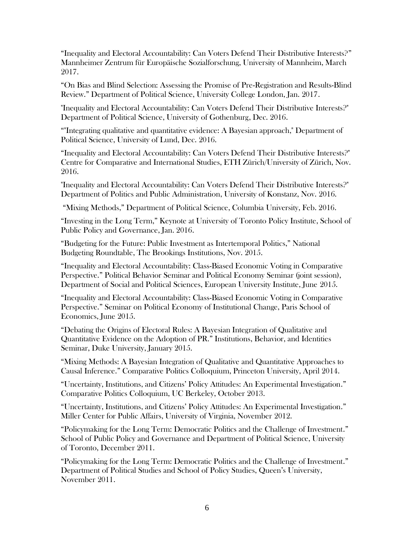"Inequality and Electoral Accountability: Can Voters Defend Their Distributive Interests?" Mannheimer Zentrum für Europäische Sozialforschung, University of Mannheim, March 2017.

"On Bias and Blind Selection: Assessing the Promise of Pre-Registration and Results-Blind Review." Department of Political Science, University College London, Jan. 2017.

"Inequality and Electoral Accountability: Can Voters Defend Their Distributive Interests?" Department of Political Science, University of Gothenburg, Dec. 2016.

""Integrating qualitative and quantitative evidence: A Bayesian approach," Department of Political Science, University of Lund, Dec. 2016.

"Inequality and Electoral Accountability: Can Voters Defend Their Distributive Interests?" Centre for Comparative and International Studies, ETH Zürich/University of Zürich, Nov. 2016.

"Inequality and Electoral Accountability: Can Voters Defend Their Distributive Interests?" Department of Politics and Public Administration, University of Konstanz, Nov. 2016.

"Mixing Methods," Department of Political Science, Columbia University, Feb. 2016.

"Investing in the Long Term," Keynote at University of Toronto Policy Institute, School of Public Policy and Governance, Jan. 2016.

"Budgeting for the Future: Public Investment as Intertemporal Politics," National Budgeting Roundtable, The Brookings Institutions, Nov. 2015.

"Inequality and Electoral Accountability: Class-Biased Economic Voting in Comparative Perspective." Political Behavior Seminar and Political Economy Seminar (joint session), Department of Social and Political Sciences, European University Institute, June 2015.

"Inequality and Electoral Accountability: Class-Biased Economic Voting in Comparative Perspective." Seminar on Political Economy of Institutional Change, Paris School of Economics, June 2015.

"Debating the Origins of Electoral Rules: A Bayesian Integration of Qualitative and Quantitative Evidence on the Adoption of PR." Institutions, Behavior, and Identities Seminar, Duke University, January 2015.

"Mixing Methods: A Bayesian Integration of Qualitative and Quantitative Approaches to Causal Inference." Comparative Politics Colloquium, Princeton University, April 2014.

"Uncertainty, Institutions, and Citizens' Policy Attitudes: An Experimental Investigation." Comparative Politics Colloquium, UC Berkeley, October 2013.

"Uncertainty, Institutions, and Citizens' Policy Attitudes: An Experimental Investigation." Miller Center for Public Affairs, University of Virginia, November 2012.

"Policymaking for the Long Term: Democratic Politics and the Challenge of Investment." School of Public Policy and Governance and Department of Political Science, University of Toronto, December 2011.

"Policymaking for the Long Term: Democratic Politics and the Challenge of Investment." Department of Political Studies and School of Policy Studies, Queen's University, November 2011.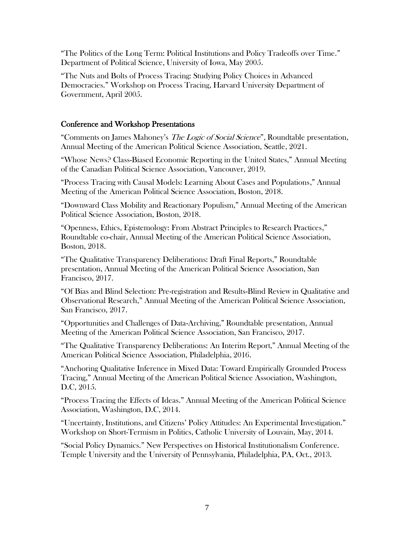"The Politics of the Long Term: Political Institutions and Policy Tradeoffs over Time." Department of Political Science, University of Iowa, May 2005.

"The Nuts and Bolts of Process Tracing: Studying Policy Choices in Advanced Democracies." Workshop on Process Tracing, Harvard University Department of Government, April 2005.

#### Conference and Workshop Presentations

"Comments on James Mahoney's The Logic of Social Science", Roundtable presentation, Annual Meeting of the American Political Science Association, Seattle, 2021.

"Whose News? Class-Biased Economic Reporting in the United States," Annual Meeting of the Canadian Political Science Association, Vancouver, 2019.

"Process Tracing with Causal Models: Learning About Cases and Populations," Annual Meeting of the American Political Science Association, Boston, 2018.

"Downward Class Mobility and Reactionary Populism," Annual Meeting of the American Political Science Association, Boston, 2018.

"Openness, Ethics, Epistemology: From Abstract Principles to Research Practices," Roundtable co-chair, Annual Meeting of the American Political Science Association, Boston, 2018.

"The Qualitative Transparency Deliberations: Draft Final Reports," Roundtable presentation, Annual Meeting of the American Political Science Association, San Francisco, 2017.

"Of Bias and Blind Selection: Pre-registration and Results-Blind Review in Qualitative and Observational Research," Annual Meeting of the American Political Science Association, San Francisco, 2017.

"Opportunities and Challenges of Data-Archiving," Roundtable presentation, Annual Meeting of the American Political Science Association, San Francisco, 2017.

"The Qualitative Transparency Deliberations: An Interim Report," Annual Meeting of the American Political Science Association, Philadelphia, 2016.

"Anchoring Qualitative Inference in Mixed Data: Toward Empirically Grounded Process Tracing," Annual Meeting of the American Political Science Association, Washington, D.C, 2015.

"Process Tracing the Effects of Ideas." Annual Meeting of the American Political Science Association, Washington, D.C, 2014.

"Uncertainty, Institutions, and Citizens' Policy Attitudes: An Experimental Investigation." Workshop on Short-Termism in Politics, Catholic University of Louvain, May, 2014.

"Social Policy Dynamics." New Perspectives on Historical Institutionalism Conference. Temple University and the University of Pennsylvania, Philadelphia, PA, Oct., 2013.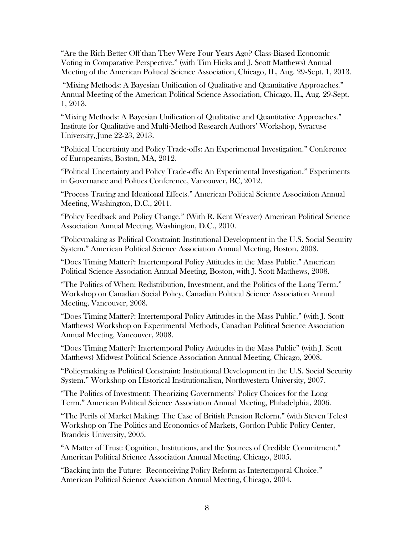"Are the Rich Better Off than They Were Four Years Ago? Class-Biased Economic Voting in Comparative Perspective." (with Tim Hicks and J. Scott Matthews) Annual Meeting of the American Political Science Association, Chicago, IL, Aug. 29-Sept. 1, 2013.

"Mixing Methods: A Bayesian Unification of Qualitative and Quantitative Approaches." Annual Meeting of the American Political Science Association, Chicago, IL, Aug. 29-Sept. 1, 2013.

"Mixing Methods: A Bayesian Unification of Qualitative and Quantitative Approaches." Institute for Qualitative and Multi-Method Research Authors' Workshop, Syracuse University, June 22-23, 2013.

"Political Uncertainty and Policy Trade-offs: An Experimental Investigation." Conference of Europeanists, Boston, MA, 2012.

"Political Uncertainty and Policy Trade-offs: An Experimental Investigation." Experiments in Governance and Politics Conference, Vancouver, BC, 2012.

"Process Tracing and Ideational Effects." American Political Science Association Annual Meeting, Washington, D.C., 2011.

"Policy Feedback and Policy Change." (With R. Kent Weaver) American Political Science Association Annual Meeting, Washington, D.C., 2010.

"Policymaking as Political Constraint: Institutional Development in the U.S. Social Security System." American Political Science Association Annual Meeting, Boston, 2008.

"Does Timing Matter?: Intertemporal Policy Attitudes in the Mass Public." American Political Science Association Annual Meeting, Boston, with J. Scott Matthews, 2008.

"The Politics of When: Redistribution, Investment, and the Politics of the Long Term." Workshop on Canadian Social Policy, Canadian Political Science Association Annual Meeting, Vancouver, 2008.

"Does Timing Matter?: Intertemporal Policy Attitudes in the Mass Public." (with J. Scott Matthews) Workshop on Experimental Methods, Canadian Political Science Association Annual Meeting, Vancouver, 2008.

"Does Timing Matter?: Intertemporal Policy Attitudes in the Mass Public" (with J. Scott Matthews) Midwest Political Science Association Annual Meeting, Chicago, 2008.

"Policymaking as Political Constraint: Institutional Development in the U.S. Social Security System." Workshop on Historical Institutionalism, Northwestern University, 2007.

"The Politics of Investment: Theorizing Governments' Policy Choices for the Long Term." American Political Science Association Annual Meeting, Philadelphia, 2006.

"The Perils of Market Making: The Case of British Pension Reform." (with Steven Teles) Workshop on The Politics and Economics of Markets, Gordon Public Policy Center, Brandeis University, 2005.

"A Matter of Trust: Cognition, Institutions, and the Sources of Credible Commitment." American Political Science Association Annual Meeting, Chicago, 2005.

"Backing into the Future: Reconceiving Policy Reform as Intertemporal Choice." American Political Science Association Annual Meeting, Chicago, 2004.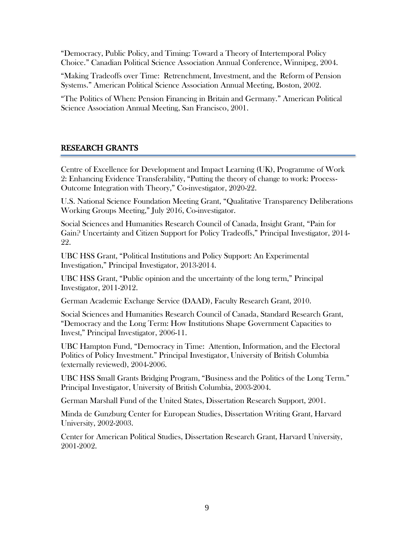"Democracy, Public Policy, and Timing: Toward a Theory of Intertemporal Policy Choice." Canadian Political Science Association Annual Conference, Winnipeg, 2004.

"Making Tradeoffs over Time: Retrenchment, Investment, and the Reform of Pension Systems." American Political Science Association Annual Meeting, Boston, 2002.

"The Politics of When: Pension Financing in Britain and Germany." American Political Science Association Annual Meeting, San Francisco, 2001.

## RESEARCH GRANTS

Centre of Excellence for Development and Impact Learning (UK), Programme of Work 2: Enhancing Evidence Transferability, "Putting the theory of change to work: Process-Outcome Integration with Theory," Co-investigator, 2020-22.

U.S. National Science Foundation Meeting Grant, "Qualitative Transparency Deliberations Working Groups Meeting," July 2016, Co-investigator.

Social Sciences and Humanities Research Council of Canada, Insight Grant, "Pain for Gain? Uncertainty and Citizen Support for Policy Tradeoffs," Principal Investigator, 2014- 22.

UBC HSS Grant, "Political Institutions and Policy Support: An Experimental Investigation," Principal Investigator, 2013-2014.

UBC HSS Grant, "Public opinion and the uncertainty of the long term," Principal Investigator, 2011-2012.

German Academic Exchange Service (DAAD), Faculty Research Grant, 2010.

Social Sciences and Humanities Research Council of Canada, Standard Research Grant, "Democracy and the Long Term: How Institutions Shape Government Capacities to Invest," Principal Investigator, 2006-11.

UBC Hampton Fund, "Democracy in Time: Attention, Information, and the Electoral Politics of Policy Investment." Principal Investigator, University of British Columbia (externally reviewed), 2004-2006.

UBC HSS Small Grants Bridging Program, "Business and the Politics of the Long Term." Principal Investigator, University of British Columbia, 2003-2004.

German Marshall Fund of the United States, Dissertation Research Support, 2001.

Minda de Gunzburg Center for European Studies, Dissertation Writing Grant, Harvard University, 2002-2003.

Center for American Political Studies, Dissertation Research Grant, Harvard University, 2001-2002.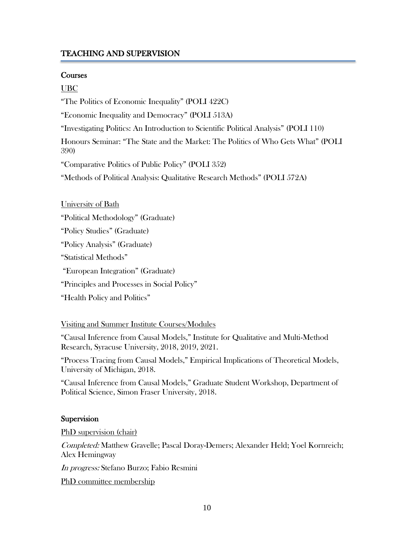#### TEACHING AND SUPERVISION

#### **Courses**

#### UBC

"The Politics of Economic Inequality" (POLI 422C)

"Economic Inequality and Democracy" (POLI 513A)

"Investigating Politics: An Introduction to Scientific Political Analysis" (POLI 110)

Honours Seminar: "The State and the Market: The Politics of Who Gets What" (POLI 390)

"Comparative Politics of Public Policy" (POLI 352)

"Methods of Political Analysis: Qualitative Research Methods" (POLI 572A)

| University of Bath |  |
|--------------------|--|
|                    |  |

"Political Methodology" (Graduate)

"Policy Studies" (Graduate)

"Policy Analysis" (Graduate)

"Statistical Methods"

"European Integration" (Graduate)

"Principles and Processes in Social Policy"

"Health Policy and Politics"

#### Visiting and Summer Institute Courses/Modules

"Causal Inference from Causal Models," Institute for Qualitative and Multi-Method Research, Syracuse University, 2018, 2019, 2021.

"Process Tracing from Causal Models," Empirical Implications of Theoretical Models, University of Michigan, 2018.

"Causal Inference from Causal Models," Graduate Student Workshop, Department of Political Science, Simon Fraser University, 2018.

## **Supervision**

PhD supervision (chair)

Completed: Matthew Gravelle; Pascal Doray-Demers; Alexander Held; Yoel Kornreich; Alex Hemingway

In progress: Stefano Burzo; Fabio Resmini

PhD committee membership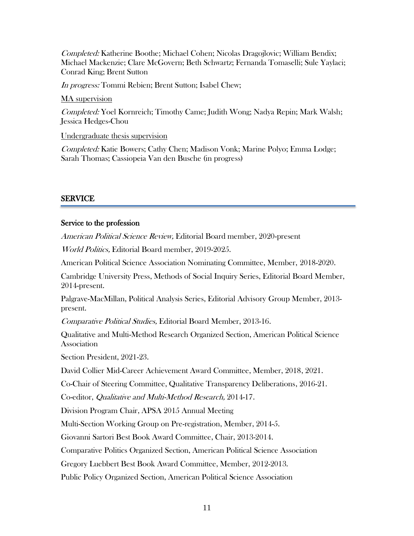Completed: Katherine Boothe; Michael Cohen; Nicolas Dragojlovic; William Bendix; Michael Mackenzie; Clare McGovern; Beth Schwartz; Fernanda Tomaselli; Sule Yaylaci; Conrad King; Brent Sutton

In progress: Tommi Rebien; Brent Sutton; Isabel Chew;

MA supervision

Completed: Yoel Kornreich; Timothy Came; Judith Wong; Nadya Repin; Mark Walsh; Jessica Hedges-Chou

Undergraduate thesis supervision

Completed: Katie Bowers; Cathy Chen; Madison Vonk; Marine Polyo; Emma Lodge; Sarah Thomas; Cassiopeia Van den Busche (in progress)

## SERVICE

## Service to the profession

American Political Science Review, Editorial Board member, 2020-present

World Politics, Editorial Board member, 2019-2025.

American Political Science Association Nominating Committee, Member, 2018-2020.

Cambridge University Press, Methods of Social Inquiry Series, Editorial Board Member, 2014-present.

Palgrave-MacMillan, Political Analysis Series, Editorial Advisory Group Member, 2013 present.

Comparative Political Studies, Editorial Board Member, 2013-16.

Qualitative and Multi-Method Research Organized Section, American Political Science Association

Section President, 2021-23.

David Collier Mid-Career Achievement Award Committee, Member, 2018, 2021.

Co-Chair of Steering Committee, Qualitative Transparency Deliberations, 2016-21.

Co-editor, Qualitative and Multi-Method Research, 2014-17.

Division Program Chair, APSA 2015 Annual Meeting

Multi-Section Working Group on Pre-registration, Member, 2014-5.

Giovanni Sartori Best Book Award Committee, Chair, 2013-2014.

Comparative Politics Organized Section, American Political Science Association

Gregory Luebbert Best Book Award Committee, Member, 2012-2013.

Public Policy Organized Section, American Political Science Association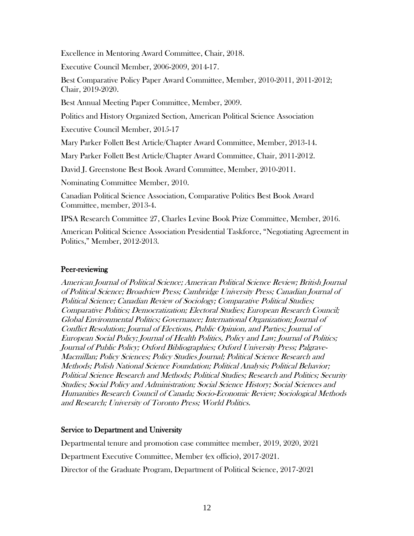Excellence in Mentoring Award Committee, Chair, 2018.

Executive Council Member, 2006-2009, 2014-17.

Best Comparative Policy Paper Award Committee, Member, 2010-2011, 2011-2012; Chair, 2019-2020.

Best Annual Meeting Paper Committee, Member, 2009.

Politics and History Organized Section, American Political Science Association

Executive Council Member, 2015-17

Mary Parker Follett Best Article/Chapter Award Committee, Member, 2013-14.

Mary Parker Follett Best Article/Chapter Award Committee, Chair, 2011-2012.

David J. Greenstone Best Book Award Committee, Member, 2010-2011.

Nominating Committee Member, 2010.

Canadian Political Science Association, Comparative Politics Best Book Award Committee, member, 2013-4.

IPSA Research Committee 27, Charles Levine Book Prize Committee, Member, 2016.

American Political Science Association Presidential Taskforce, "Negotiating Agreement in Politics," Member, 2012-2013.

## Peer-reviewing

American Journal of Political Science; American Political Science Review; British Journal of Political Science; Broadview Press; Cambridge University Press; Canadian Journal of Political Science; Canadian Review of Sociology; Comparative Political Studies; Comparative Politics; Democratization; Electoral Studies; European Research Council; Global Environmental Politics; Governance; International Organization; Journal of Conflict Resolution; Journal of Elections, Public Opinion, and Parties; Journal of European Social Policy; Journal of Health Politics, Policy and Law; Journal of Politics; Journal of Public Policy; Oxford Bibliographies; Oxford University Press; Palgrave-Macmillan; Policy Sciences; Policy Studies Journal; Political Science Research and Methods; Polish National Science Foundation; Political Analysis; Political Behavior; Political Science Research and Methods; Political Studies; Research and Politics; Security Studies; Social Policy and Administration; Social Science History; Social Sciences and Humanities Research Council of Canada; Socio-Economic Review; Sociological Methods and Research; University of Toronto Press; World Politics.

## Service to Department and University

Departmental tenure and promotion case committee member, 2019, 2020, 2021

Department Executive Committee, Member (ex officio), 2017-2021.

Director of the Graduate Program, Department of Political Science, 2017-2021